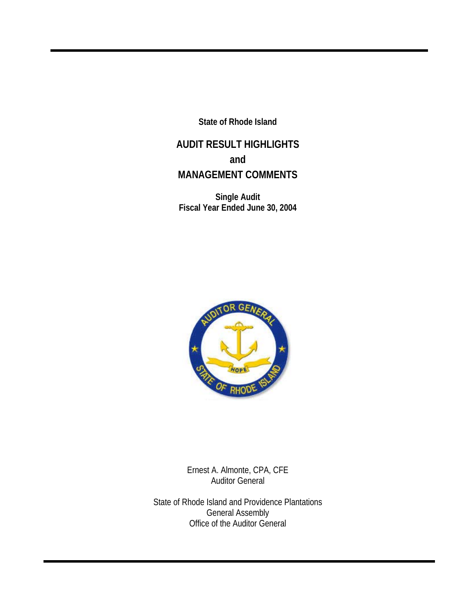**State of Rhode Island** 

# **AUDIT RESULT HIGHLIGHTS and MANAGEMENT COMMENTS**

**Single Audit Fiscal Year Ended June 30, 2004** 



Ernest A. Almonte, CPA, CFE Auditor General

State of Rhode Island and Providence Plantations General Assembly Office of the Auditor General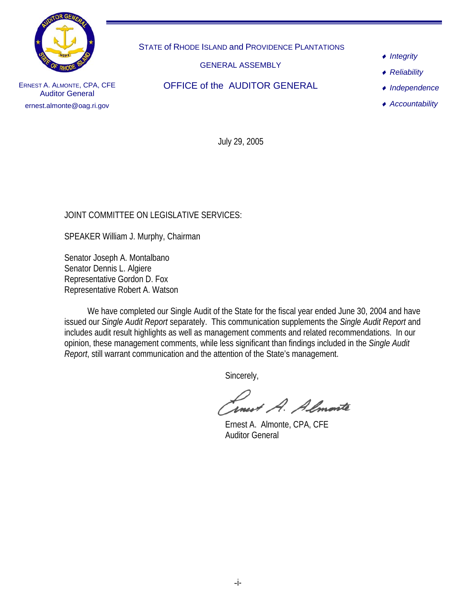

STATE of RHODE ISLAND and PROVIDENCE PLANTATIONS

GENERAL ASSEMBLY

OFFICE of the AUDITOR GENERAL

- ♦ *Integrity*
- ♦ *Reliability*
- ♦ *Independence*
- ♦ *Accountability*

ERNEST A. ALMONTE, CPA, CFE Auditor General ernest.almonte@oag.ri.gov

July 29, 2005

### JOINT COMMITTEE ON LEGISLATIVE SERVICES:

SPEAKER William J. Murphy, Chairman

Senator Joseph A. Montalbano Senator Dennis L. Algiere Representative Gordon D. Fox Representative Robert A. Watson

 We have completed our Single Audit of the State for the fiscal year ended June 30, 2004 and have issued our *Single Audit Report* separately. This communication supplements the *Single Audit Report* and includes audit result highlights as well as management comments and related recommendations. In our opinion, these management comments, while less significant than findings included in the *Single Audit Report*, still warrant communication and the attention of the State's management.

Sincerely,

rnest A. Almante

Ernest A. Almonte, CPA, CFE Auditor General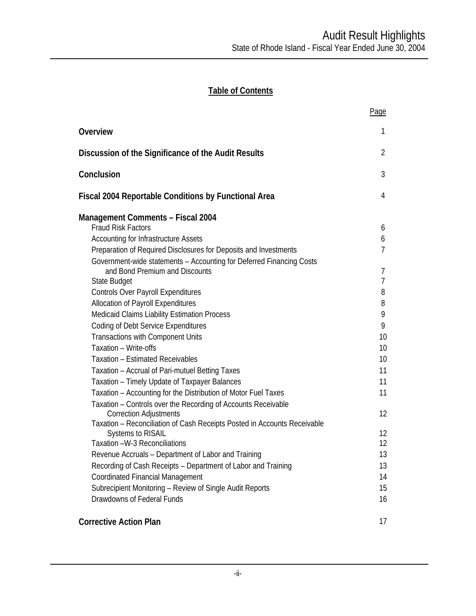## **Table of Contents**

|                                                                                        | Page                                   |
|----------------------------------------------------------------------------------------|----------------------------------------|
| Overview                                                                               | 1                                      |
| Discussion of the Significance of the Audit Results                                    | 2                                      |
| Conclusion                                                                             | 3                                      |
| <b>Fiscal 2004 Reportable Conditions by Functional Area</b>                            | 4                                      |
| <b>Management Comments - Fiscal 2004</b>                                               |                                        |
| <b>Fraud Risk Factors</b>                                                              | 6                                      |
| Accounting for Infrastructure Assets                                                   | 6                                      |
| Preparation of Required Disclosures for Deposits and Investments                       | $\overline{7}$                         |
| Government-wide statements - Accounting for Deferred Financing Costs                   |                                        |
| and Bond Premium and Discounts                                                         | 7                                      |
| State Budget                                                                           | $\overline{7}$                         |
| <b>Controls Over Payroll Expenditures</b>                                              | 8                                      |
| Allocation of Payroll Expenditures                                                     | 8                                      |
| Medicaid Claims Liability Estimation Process                                           | 9                                      |
| <b>Coding of Debt Service Expenditures</b>                                             | 9                                      |
| <b>Transactions with Component Units</b>                                               | 10                                     |
| Taxation - Write-offs                                                                  | 10                                     |
| <b>Taxation - Estimated Receivables</b>                                                | 10                                     |
| Taxation - Accrual of Pari-mutuel Betting Taxes                                        | 11                                     |
| Taxation - Timely Update of Taxpayer Balances                                          | 11                                     |
| Taxation - Accounting for the Distribution of Motor Fuel Taxes                         | 11                                     |
| Taxation - Controls over the Recording of Accounts Receivable                          |                                        |
| <b>Correction Adjustments</b>                                                          | 12                                     |
| Taxation - Reconciliation of Cash Receipts Posted in Accounts Receivable               |                                        |
| <b>Systems to RISAIL</b><br>Taxation -W-3 Reconciliations                              | $12 \overline{ }$<br>$12 \overline{ }$ |
| Revenue Accruals – Department of Labor and Training                                    | 13                                     |
| Recording of Cash Receipts - Department of Labor and Training                          | 13                                     |
|                                                                                        | 14                                     |
| <b>Coordinated Financial Management</b>                                                |                                        |
| Subrecipient Monitoring - Review of Single Audit Reports<br>Drawdowns of Federal Funds | 15                                     |
|                                                                                        | 16                                     |
| <b>Corrective Action Plan</b>                                                          | 17                                     |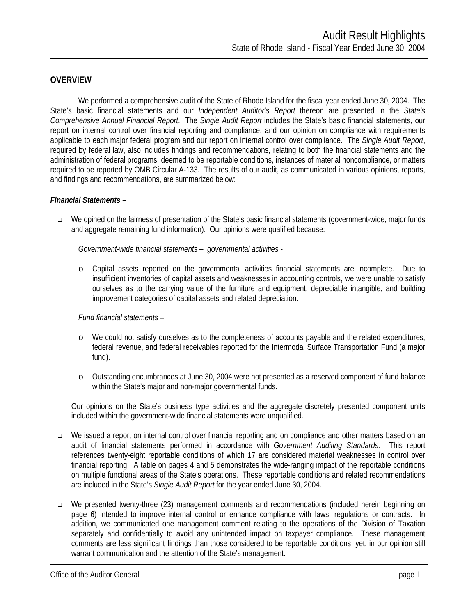#### **OVERVIEW**

We performed a comprehensive audit of the State of Rhode Island for the fiscal year ended June 30, 2004. The State's basic financial statements and our *Independent Auditor's Report* thereon are presented in the *State's Comprehensive Annual Financial Report*. The *Single Audit Report* includes the State's basic financial statements, our report on internal control over financial reporting and compliance, and our opinion on compliance with requirements applicable to each major federal program and our report on internal control over compliance. The *Single Audit Report*, required by federal law, also includes findings and recommendations, relating to both the financial statements and the administration of federal programs, deemed to be reportable conditions, instances of material noncompliance, or matters required to be reported by OMB Circular A-133. The results of our audit, as communicated in various opinions, reports, and findings and recommendations, are summarized below:

#### *Financial Statements –*

 We opined on the fairness of presentation of the State's basic financial statements (government-wide, major funds and aggregate remaining fund information). Our opinions were qualified because:

*Government-wide financial statements – governmental activities -* 

o Capital assets reported on the governmental activities financial statements are incomplete. Due to insufficient inventories of capital assets and weaknesses in accounting controls, we were unable to satisfy ourselves as to the carrying value of the furniture and equipment, depreciable intangible, and building improvement categories of capital assets and related depreciation.

#### *Fund financial statements –*

- o We could not satisfy ourselves as to the completeness of accounts payable and the related expenditures, federal revenue, and federal receivables reported for the Intermodal Surface Transportation Fund (a major fund).
- o Outstanding encumbrances at June 30, 2004 were not presented as a reserved component of fund balance within the State's major and non-major governmental funds.

Our opinions on the State's business–type activities and the aggregate discretely presented component units included within the government-wide financial statements were unqualified.

- □ We issued a report on internal control over financial reporting and on compliance and other matters based on an audit of financial statements performed in accordance with *Government Auditing Standards.* This report references twenty-eight reportable conditions of which 17 are considered material weaknesses in control over financial reporting. A table on pages 4 and 5 demonstrates the wide-ranging impact of the reportable conditions on multiple functional areas of the State's operations. These reportable conditions and related recommendations are included in the State's *Single Audit Report* for the year ended June 30, 2004.
- We presented twenty-three (23) management comments and recommendations (included herein beginning on page 6) intended to improve internal control or enhance compliance with laws, regulations or contracts. In addition, we communicated one management comment relating to the operations of the Division of Taxation separately and confidentially to avoid any unintended impact on taxpayer compliance. These management comments are less significant findings than those considered to be reportable conditions, yet, in our opinion still warrant communication and the attention of the State's management.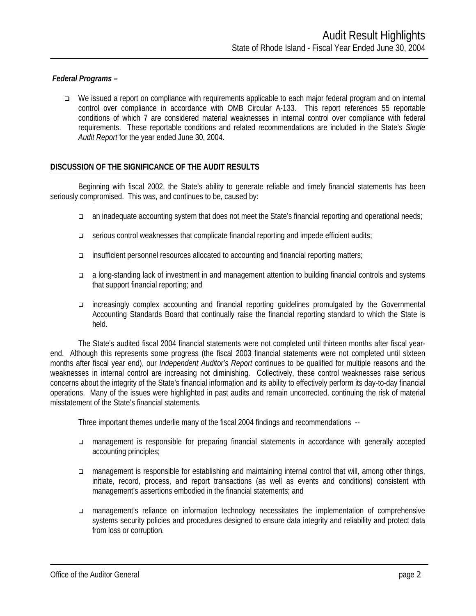#### *Federal Programs –*

 We issued a report on compliance with requirements applicable to each major federal program and on internal control over compliance in accordance with OMB Circular A-133. This report references 55 reportable conditions of which 7 are considered material weaknesses in internal control over compliance with federal requirements. These reportable conditions and related recommendations are included in the State's *Single Audit Report* for the year ended June 30, 2004.

#### **DISCUSSION OF THE SIGNIFICANCE OF THE AUDIT RESULTS**

Beginning with fiscal 2002, the State's ability to generate reliable and timely financial statements has been seriously compromised. This was, and continues to be, caused by:

- an inadequate accounting system that does not meet the State's financial reporting and operational needs;
- serious control weaknesses that complicate financial reporting and impede efficient audits;
- insufficient personnel resources allocated to accounting and financial reporting matters;
- a long-standing lack of investment in and management attention to building financial controls and systems that support financial reporting; and
- increasingly complex accounting and financial reporting guidelines promulgated by the Governmental Accounting Standards Board that continually raise the financial reporting standard to which the State is held.

The State's audited fiscal 2004 financial statements were not completed until thirteen months after fiscal yearend. Although this represents some progress (the fiscal 2003 financial statements were not completed until sixteen months after fiscal year end), our *Independent Auditor's Report* continues to be qualified for multiple reasons and the weaknesses in internal control are increasing not diminishing. Collectively, these control weaknesses raise serious concerns about the integrity of the State's financial information and its ability to effectively perform its day-to-day financial operations. Many of the issues were highlighted in past audits and remain uncorrected, continuing the risk of material misstatement of the State's financial statements.

Three important themes underlie many of the fiscal 2004 findings and recommendations --

- management is responsible for preparing financial statements in accordance with generally accepted accounting principles;
- management is responsible for establishing and maintaining internal control that will, among other things, initiate, record, process, and report transactions (as well as events and conditions) consistent with management's assertions embodied in the financial statements; and
- management's reliance on information technology necessitates the implementation of comprehensive systems security policies and procedures designed to ensure data integrity and reliability and protect data from loss or corruption.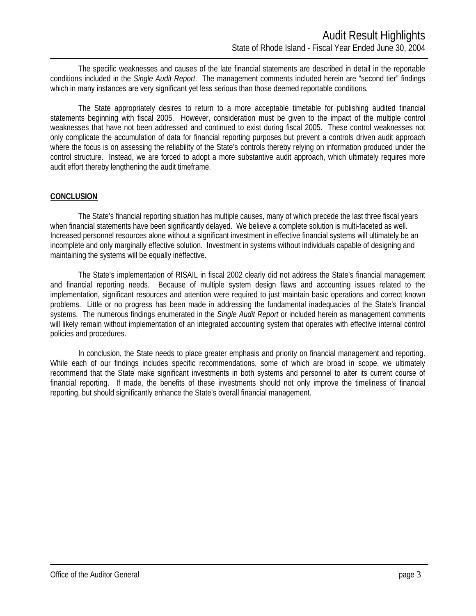The specific weaknesses and causes of the late financial statements are described in detail in the reportable conditions included in the *Single Audit Report*. The management comments included herein are "second tier" findings which in many instances are very significant yet less serious than those deemed reportable conditions.

The State appropriately desires to return to a more acceptable timetable for publishing audited financial statements beginning with fiscal 2005. However, consideration must be given to the impact of the multiple control weaknesses that have not been addressed and continued to exist during fiscal 2005. These control weaknesses not only complicate the accumulation of data for financial reporting purposes but prevent a controls driven audit approach where the focus is on assessing the reliability of the State's controls thereby relying on information produced under the control structure. Instead, we are forced to adopt a more substantive audit approach, which ultimately requires more audit effort thereby lengthening the audit timeframe.

#### **CONCLUSION**

The State's financial reporting situation has multiple causes, many of which precede the last three fiscal years when financial statements have been significantly delayed. We believe a complete solution is multi-faceted as well. Increased personnel resources alone without a significant investment in effective financial systems will ultimately be an incomplete and only marginally effective solution. Investment in systems without individuals capable of designing and maintaining the systems will be equally ineffective.

The State's implementation of RISAIL in fiscal 2002 clearly did not address the State's financial management and financial reporting needs. Because of multiple system design flaws and accounting issues related to the implementation, significant resources and attention were required to just maintain basic operations and correct known problems. Little or no progress has been made in addressing the fundamental inadequacies of the State's financial systems. The numerous findings enumerated in the *Single Audit Report* or included herein as management comments will likely remain without implementation of an integrated accounting system that operates with effective internal control policies and procedures.

In conclusion, the State needs to place greater emphasis and priority on financial management and reporting. While each of our findings includes specific recommendations, some of which are broad in scope, we ultimately recommend that the State make significant investments in both systems and personnel to alter its current course of financial reporting. If made, the benefits of these investments should not only improve the timeliness of financial reporting, but should significantly enhance the State's overall financial management.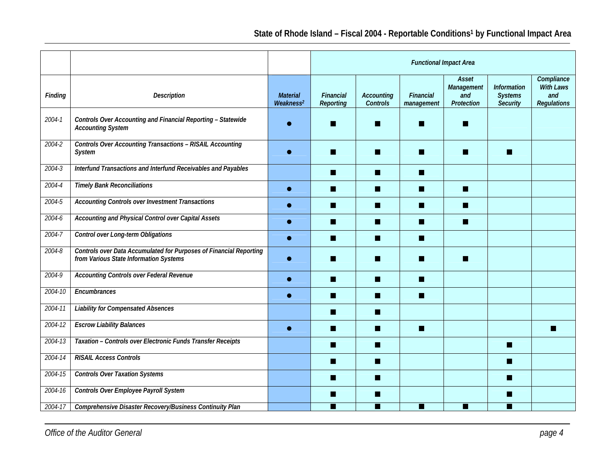|            |                                                                                                              |                                          | <b>Functional Impact Area</b>        |                               |                                |                                          |                                                         |                                                             |  |  |
|------------|--------------------------------------------------------------------------------------------------------------|------------------------------------------|--------------------------------------|-------------------------------|--------------------------------|------------------------------------------|---------------------------------------------------------|-------------------------------------------------------------|--|--|
| Finding    | <b>Description</b>                                                                                           | <b>Material</b><br>Weakness <sup>2</sup> | <b>Financial</b><br><b>Reporting</b> | <b>Accounting</b><br>Controls | <b>Financial</b><br>management | Asset<br>Management<br>and<br>Protection | <b>Information</b><br><b>Systems</b><br><b>Security</b> | Compliance<br><b>With Laws</b><br>and<br><b>Regulations</b> |  |  |
| 2004-1     | Controls Over Accounting and Financial Reporting - Statewide<br><b>Accounting System</b>                     |                                          |                                      |                               |                                | П                                        |                                                         |                                                             |  |  |
| 2004-2     | <b>Controls Over Accounting Transactions - RISAIL Accounting</b><br>System                                   |                                          |                                      |                               | ш                              | ш                                        |                                                         |                                                             |  |  |
| 2004-3     | Interfund Transactions and Interfund Receivables and Payables                                                |                                          |                                      | ш                             | m                              |                                          |                                                         |                                                             |  |  |
| 2004-4     | <b>Timely Bank Reconciliations</b>                                                                           |                                          | <b>Tall</b>                          | П                             | n                              | П                                        |                                                         |                                                             |  |  |
| $2004 - 5$ | Accounting Controls over Investment Transactions                                                             |                                          | <b>Tall</b>                          | ш                             | m                              | П                                        |                                                         |                                                             |  |  |
| 2004-6     | Accounting and Physical Control over Capital Assets                                                          |                                          | m                                    | ■                             | m                              | П                                        |                                                         |                                                             |  |  |
| 2004-7     | Control over Long-term Obligations                                                                           |                                          | <b>In</b>                            | П                             | n                              |                                          |                                                         |                                                             |  |  |
| $2004 - 8$ | Controls over Data Accumulated for Purposes of Financial Reporting<br>from Various State Information Systems |                                          |                                      |                               | ш                              | ш                                        |                                                         |                                                             |  |  |
| 2004-9     | Accounting Controls over Federal Revenue                                                                     |                                          | ш                                    | H                             | m.                             |                                          |                                                         |                                                             |  |  |
| 2004-10    | Encumbrances                                                                                                 |                                          | ш                                    | П                             | П                              |                                          |                                                         |                                                             |  |  |
| 2004-11    | <b>Liability for Compensated Absences</b>                                                                    |                                          | ш                                    | H                             |                                |                                          |                                                         |                                                             |  |  |
| 2004-12    | <b>Escrow Liability Balances</b>                                                                             |                                          | m                                    | П                             | П                              |                                          |                                                         |                                                             |  |  |
| 2004-13    | Taxation - Controls over Electronic Funds Transfer Receipts                                                  |                                          | <b>In</b>                            | П                             |                                |                                          | п                                                       |                                                             |  |  |
| 2004-14    | <b>RISAIL Access Controls</b>                                                                                |                                          |                                      | П                             |                                |                                          | п                                                       |                                                             |  |  |
| 2004-15    | <b>Controls Over Taxation Systems</b>                                                                        |                                          | m                                    | П                             |                                |                                          | п                                                       |                                                             |  |  |
| 2004-16    | Controls Over Employee Payroll System                                                                        |                                          |                                      |                               |                                |                                          |                                                         |                                                             |  |  |
| 2004-17    | Comprehensive Disaster Recovery/Business Continuity Plan                                                     |                                          |                                      |                               | П                              |                                          |                                                         |                                                             |  |  |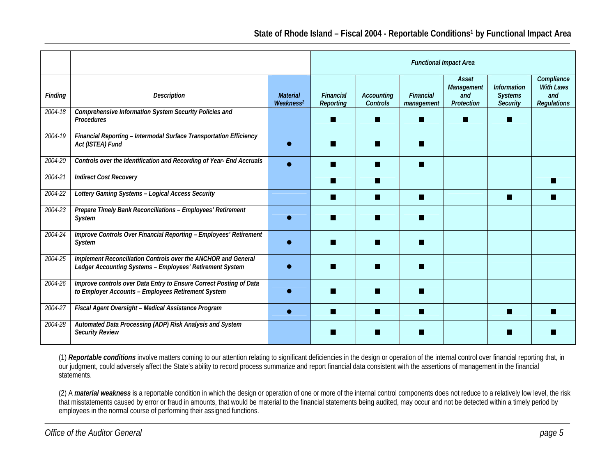|         |                                                                                                                           |                                                | <b>Functional Impact Area</b> |                                      |                         |                                          |                                                         |                                                             |  |  |  |  |  |  |  |  |  |
|---------|---------------------------------------------------------------------------------------------------------------------------|------------------------------------------------|-------------------------------|--------------------------------------|-------------------------|------------------------------------------|---------------------------------------------------------|-------------------------------------------------------------|--|--|--|--|--|--|--|--|--|
| Finding | <b>Description</b>                                                                                                        | <b>Material</b><br>We a k n e s s <sup>2</sup> | Financial<br><b>Reporting</b> | <b>Accounting</b><br><b>Controls</b> | Financial<br>management | Asset<br>Management<br>and<br>Protection | <b>Information</b><br><b>Systems</b><br><b>Security</b> | Compliance<br><b>With Laws</b><br>and<br><b>Regulations</b> |  |  |  |  |  |  |  |  |  |
| 2004-18 | Comprehensive Information System Security Policies and<br>Procedures                                                      |                                                |                               |                                      |                         | m                                        | п                                                       |                                                             |  |  |  |  |  |  |  |  |  |
| 2004-19 | Financial Reporting - Intermodal Surface Transportation Efficiency<br>Act (ISTEA) Fund                                    |                                                |                               |                                      |                         |                                          |                                                         |                                                             |  |  |  |  |  |  |  |  |  |
| 2004-20 | Controls over the Identification and Recording of Year- End Accruals                                                      |                                                |                               | I.                                   | m                       |                                          |                                                         |                                                             |  |  |  |  |  |  |  |  |  |
| 2004-21 | <b>Indirect Cost Recovery</b>                                                                                             |                                                | ш                             | ▅                                    |                         |                                          |                                                         |                                                             |  |  |  |  |  |  |  |  |  |
| 2004-22 | Lottery Gaming Systems - Logical Access Security                                                                          |                                                |                               |                                      | m                       |                                          |                                                         |                                                             |  |  |  |  |  |  |  |  |  |
| 2004-23 | Prepare Timely Bank Reconciliations - Employees' Retirement<br>System                                                     |                                                |                               | ▅                                    |                         |                                          |                                                         |                                                             |  |  |  |  |  |  |  |  |  |
| 2004-24 | Improve Controls Over Financial Reporting - Employees' Retirement<br>System                                               |                                                |                               |                                      |                         |                                          |                                                         |                                                             |  |  |  |  |  |  |  |  |  |
| 2004-25 | Implement Reconciliation Controls over the ANCHOR and General<br>Ledger Accounting Systems - Employees' Retirement System |                                                |                               |                                      |                         |                                          |                                                         |                                                             |  |  |  |  |  |  |  |  |  |
| 2004-26 | Improve controls over Data Entry to Ensure Correct Posting of Data<br>to Employer Accounts - Employees Retirement System  |                                                |                               |                                      |                         |                                          |                                                         |                                                             |  |  |  |  |  |  |  |  |  |
| 2004-27 | Fiscal Agent Oversight - Medical Assistance Program                                                                       |                                                |                               | ▅                                    | ш                       |                                          | ш                                                       |                                                             |  |  |  |  |  |  |  |  |  |
| 2004-28 | Automated Data Processing (ADP) Risk Analysis and System<br><b>Security Review</b>                                        |                                                |                               |                                      |                         |                                          |                                                         |                                                             |  |  |  |  |  |  |  |  |  |

(1) *Reportable conditions* involve matters coming to our attention relating to significant deficiencies in the design or operation of the internal control over financial reporting that, in our judgment, could adversely affect the State's ability to record process summarize and report financial data consistent with the assertions of management in the financial statements.

(2) A *material weakness* is a reportable condition in which the design or operation of one or more of the internal control components does not reduce to a relatively low level, the risk that misstatements caused by error or fraud in amounts, that would be material to the financial statements being audited, may occur and not be detected within a timely period by employees in the normal course of performing their assigned functions.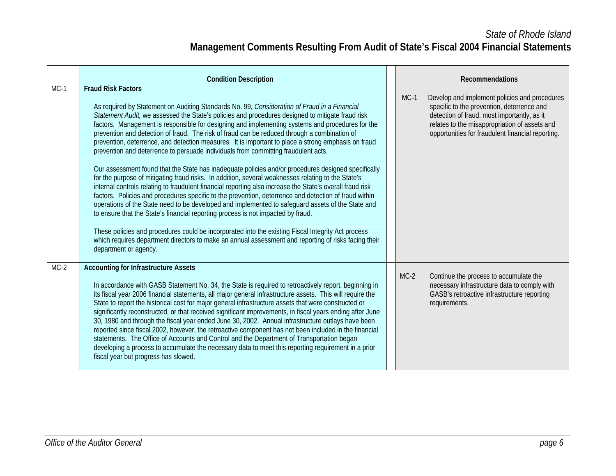*State of Rhode Island*  **Management Comments Resulting From Audit of State's Fiscal 2004 Financial Statements** 

|        | <b>Condition Description</b>                                                                                                                                                                                                                                                                                                                                                                                                                                                                                                                                                                                                                                                                                                                                                                                                                                                                                                                                                                                                                                                                                                                                                                                                                                                                                                                                                                                                                                                                      |        | Recommendations                                                                                                                                                                                                                                  |
|--------|---------------------------------------------------------------------------------------------------------------------------------------------------------------------------------------------------------------------------------------------------------------------------------------------------------------------------------------------------------------------------------------------------------------------------------------------------------------------------------------------------------------------------------------------------------------------------------------------------------------------------------------------------------------------------------------------------------------------------------------------------------------------------------------------------------------------------------------------------------------------------------------------------------------------------------------------------------------------------------------------------------------------------------------------------------------------------------------------------------------------------------------------------------------------------------------------------------------------------------------------------------------------------------------------------------------------------------------------------------------------------------------------------------------------------------------------------------------------------------------------------|--------|--------------------------------------------------------------------------------------------------------------------------------------------------------------------------------------------------------------------------------------------------|
| $MC-1$ | <b>Fraud Risk Factors</b><br>As required by Statement on Auditing Standards No. 99, Consideration of Fraud in a Financial<br>Statement Audit, we assessed the State's policies and procedures designed to mitigate fraud risk<br>factors. Management is responsible for designing and implementing systems and procedures for the<br>prevention and detection of fraud. The risk of fraud can be reduced through a combination of<br>prevention, deterrence, and detection measures. It is important to place a strong emphasis on fraud<br>prevention and deterrence to persuade individuals from committing fraudulent acts.<br>Our assessment found that the State has inadequate policies and/or procedures designed specifically<br>for the purpose of mitigating fraud risks. In addition, several weaknesses relating to the State's<br>internal controls relating to fraudulent financial reporting also increase the State's overall fraud risk<br>factors. Policies and procedures specific to the prevention, deterrence and detection of fraud within<br>operations of the State need to be developed and implemented to safeguard assets of the State and<br>to ensure that the State's financial reporting process is not impacted by fraud.<br>These policies and procedures could be incorporated into the existing Fiscal Integrity Act process<br>which requires department directors to make an annual assessment and reporting of risks facing their<br>department or agency. | $MC-1$ | Develop and implement policies and procedures<br>specific to the prevention, deterrence and<br>detection of fraud, most importantly, as it<br>relates to the misappropriation of assets and<br>opportunities for fraudulent financial reporting. |
| $MC-2$ | <b>Accounting for Infrastructure Assets</b><br>In accordance with GASB Statement No. 34, the State is required to retroactively report, beginning in<br>its fiscal year 2006 financial statements, all major general infrastructure assets. This will require the<br>State to report the historical cost for major general infrastructure assets that were constructed or<br>significantly reconstructed, or that received significant improvements, in fiscal years ending after June<br>30, 1980 and through the fiscal year ended June 30, 2002. Annual infrastructure outlays have been<br>reported since fiscal 2002, however, the retroactive component has not been included in the financial<br>statements. The Office of Accounts and Control and the Department of Transportation began<br>developing a process to accumulate the necessary data to meet this reporting requirement in a prior<br>fiscal year but progress has slowed.                                                                                                                                                                                                                                                                                                                                                                                                                                                                                                                                                  | $MC-2$ | Continue the process to accumulate the<br>necessary infrastructure data to comply with<br>GASB's retroactive infrastructure reporting<br>requirements.                                                                                           |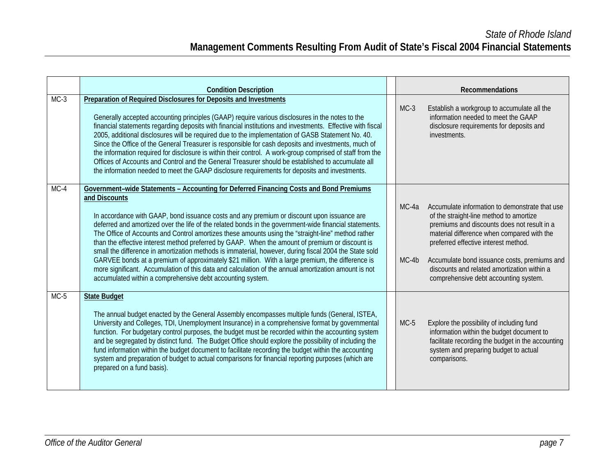|        | <b>Condition Description</b>                                                                                                                                                                                                                                                                                                                                                                                                                                                                                                                                                                                                                                                                                                                                                                                                                                                                                 |                  | Recommendations                                                                                                                                                                                                                                                                                                                                                        |
|--------|--------------------------------------------------------------------------------------------------------------------------------------------------------------------------------------------------------------------------------------------------------------------------------------------------------------------------------------------------------------------------------------------------------------------------------------------------------------------------------------------------------------------------------------------------------------------------------------------------------------------------------------------------------------------------------------------------------------------------------------------------------------------------------------------------------------------------------------------------------------------------------------------------------------|------------------|------------------------------------------------------------------------------------------------------------------------------------------------------------------------------------------------------------------------------------------------------------------------------------------------------------------------------------------------------------------------|
| $MC-3$ | Preparation of Required Disclosures for Deposits and Investments<br>Generally accepted accounting principles (GAAP) require various disclosures in the notes to the<br>financial statements regarding deposits with financial institutions and investments. Effective with fiscal<br>2005, additional disclosures will be required due to the implementation of GASB Statement No. 40.<br>Since the Office of the General Treasurer is responsible for cash deposits and investments, much of<br>the information required for disclosure is within their control. A work-group comprised of staff from the<br>Offices of Accounts and Control and the General Treasurer should be established to accumulate all<br>the information needed to meet the GAAP disclosure requirements for deposits and investments.                                                                                             | $MC-3$           | Establish a workgroup to accumulate all the<br>information needed to meet the GAAP<br>disclosure requirements for deposits and<br>investments.                                                                                                                                                                                                                         |
| $MC-4$ | Government-wide Statements - Accounting for Deferred Financing Costs and Bond Premiums<br>and Discounts<br>In accordance with GAAP, bond issuance costs and any premium or discount upon issuance are<br>deferred and amortized over the life of the related bonds in the government-wide financial statements.<br>The Office of Accounts and Control amortizes these amounts using the "straight-line" method rather<br>than the effective interest method preferred by GAAP. When the amount of premium or discount is<br>small the difference in amortization methods is immaterial, however, during fiscal 2004 the State sold<br>GARVEE bonds at a premium of approximately \$21 million. With a large premium, the difference is<br>more significant. Accumulation of this data and calculation of the annual amortization amount is not<br>accumulated within a comprehensive debt accounting system. | MC-4a<br>$MC-4b$ | Accumulate information to demonstrate that use<br>of the straight-line method to amortize<br>premiums and discounts does not result in a<br>material difference when compared with the<br>preferred effective interest method.<br>Accumulate bond issuance costs, premiums and<br>discounts and related amortization within a<br>comprehensive debt accounting system. |
| $MC-5$ | <b>State Budget</b><br>The annual budget enacted by the General Assembly encompasses multiple funds (General, ISTEA,<br>University and Colleges, TDI, Unemployment Insurance) in a comprehensive format by governmental<br>function. For budgetary control purposes, the budget must be recorded within the accounting system<br>and be segregated by distinct fund. The Budget Office should explore the possibility of including the<br>fund information within the budget document to facilitate recording the budget within the accounting<br>system and preparation of budget to actual comparisons for financial reporting purposes (which are<br>prepared on a fund basis).                                                                                                                                                                                                                           | $MC-5$           | Explore the possibility of including fund<br>information within the budget document to<br>facilitate recording the budget in the accounting<br>system and preparing budget to actual<br>comparisons.                                                                                                                                                                   |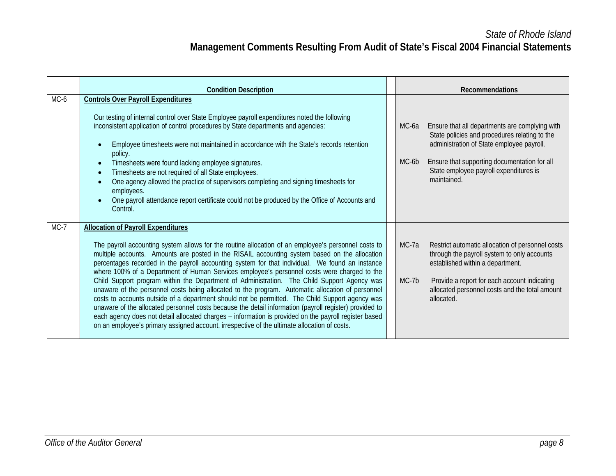|        | <b>Condition Description</b>                                                                                                                                                                                                                                                                                                                                                                                                                                                                                                                                                                                                                                                                                                                                                                                                                                                                                                                                                                                                                                                 |                  | Recommendations                                                                                                                                                                                                                                       |
|--------|------------------------------------------------------------------------------------------------------------------------------------------------------------------------------------------------------------------------------------------------------------------------------------------------------------------------------------------------------------------------------------------------------------------------------------------------------------------------------------------------------------------------------------------------------------------------------------------------------------------------------------------------------------------------------------------------------------------------------------------------------------------------------------------------------------------------------------------------------------------------------------------------------------------------------------------------------------------------------------------------------------------------------------------------------------------------------|------------------|-------------------------------------------------------------------------------------------------------------------------------------------------------------------------------------------------------------------------------------------------------|
| $MC-6$ | <b>Controls Over Payroll Expenditures</b><br>Our testing of internal control over State Employee payroll expenditures noted the following<br>inconsistent application of control procedures by State departments and agencies:<br>Employee timesheets were not maintained in accordance with the State's records retention<br>policy.<br>Timesheets were found lacking employee signatures.<br>$\bullet$<br>Timesheets are not required of all State employees.<br>$\bullet$<br>One agency allowed the practice of supervisors completing and signing timesheets for<br>employees.<br>One payroll attendance report certificate could not be produced by the Office of Accounts and<br>Control.                                                                                                                                                                                                                                                                                                                                                                              | MC-6a<br>$MC-6b$ | Ensure that all departments are complying with<br>State policies and procedures relating to the<br>administration of State employee payroll.<br>Ensure that supporting documentation for all<br>State employee payroll expenditures is<br>maintained. |
| $MC-7$ | <b>Allocation of Payroll Expenditures</b><br>The payroll accounting system allows for the routine allocation of an employee's personnel costs to<br>multiple accounts. Amounts are posted in the RISAIL accounting system based on the allocation<br>percentages recorded in the payroll accounting system for that individual. We found an instance<br>where 100% of a Department of Human Services employee's personnel costs were charged to the<br>Child Support program within the Department of Administration. The Child Support Agency was<br>unaware of the personnel costs being allocated to the program. Automatic allocation of personnel<br>costs to accounts outside of a department should not be permitted. The Child Support agency was<br>unaware of the allocated personnel costs because the detail information (payroll register) provided to<br>each agency does not detail allocated charges - information is provided on the payroll register based<br>on an employee's primary assigned account, irrespective of the ultimate allocation of costs. | MC-7a<br>$MC-7b$ | Restrict automatic allocation of personnel costs<br>through the payroll system to only accounts<br>established within a department.<br>Provide a report for each account indicating<br>allocated personnel costs and the total amount<br>allocated.   |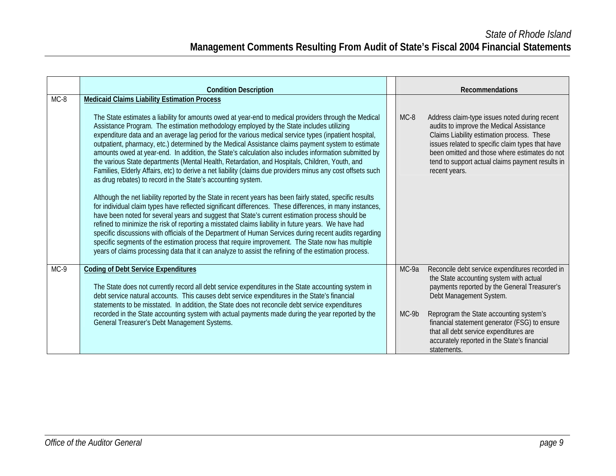|        | <b>Condition Description</b>                                                                                                                                                                                                                                                                                                                                                                                                                                                                                                                                                                                                                                                                                                                                                                                                                                                                                                                                                                                                                                                                                                                                                                                                                                                                                                                                                                                                                                                                                                                                        |         | Recommendations                                                                                                                                                                                                                                                                                                         |
|--------|---------------------------------------------------------------------------------------------------------------------------------------------------------------------------------------------------------------------------------------------------------------------------------------------------------------------------------------------------------------------------------------------------------------------------------------------------------------------------------------------------------------------------------------------------------------------------------------------------------------------------------------------------------------------------------------------------------------------------------------------------------------------------------------------------------------------------------------------------------------------------------------------------------------------------------------------------------------------------------------------------------------------------------------------------------------------------------------------------------------------------------------------------------------------------------------------------------------------------------------------------------------------------------------------------------------------------------------------------------------------------------------------------------------------------------------------------------------------------------------------------------------------------------------------------------------------|---------|-------------------------------------------------------------------------------------------------------------------------------------------------------------------------------------------------------------------------------------------------------------------------------------------------------------------------|
| $MC-8$ | <b>Medicaid Claims Liability Estimation Process</b>                                                                                                                                                                                                                                                                                                                                                                                                                                                                                                                                                                                                                                                                                                                                                                                                                                                                                                                                                                                                                                                                                                                                                                                                                                                                                                                                                                                                                                                                                                                 |         |                                                                                                                                                                                                                                                                                                                         |
|        | The State estimates a liability for amounts owed at year-end to medical providers through the Medical<br>Assistance Program. The estimation methodology employed by the State includes utilizing<br>expenditure data and an average lag period for the various medical service types (inpatient hospital,<br>outpatient, pharmacy, etc.) determined by the Medical Assistance claims payment system to estimate<br>amounts owed at year-end. In addition, the State's calculation also includes information submitted by<br>the various State departments (Mental Health, Retardation, and Hospitals, Children, Youth, and<br>Families, Elderly Affairs, etc) to derive a net liability (claims due providers minus any cost offsets such<br>as drug rebates) to record in the State's accounting system.<br>Although the net liability reported by the State in recent years has been fairly stated, specific results<br>for individual claim types have reflected significant differences. These differences, in many instances,<br>have been noted for several years and suggest that State's current estimation process should be<br>refined to minimize the risk of reporting a misstated claims liability in future years. We have had<br>specific discussions with officials of the Department of Human Services during recent audits regarding<br>specific segments of the estimation process that require improvement. The State now has multiple<br>years of claims processing data that it can analyze to assist the refining of the estimation process. | $MC-8$  | Address claim-type issues noted during recent<br>audits to improve the Medical Assistance<br>Claims Liability estimation process. These<br>issues related to specific claim types that have<br>been omitted and those where estimates do not<br>tend to support actual claims payment results in<br>recent years.       |
| $MC-9$ | <b>Coding of Debt Service Expenditures</b>                                                                                                                                                                                                                                                                                                                                                                                                                                                                                                                                                                                                                                                                                                                                                                                                                                                                                                                                                                                                                                                                                                                                                                                                                                                                                                                                                                                                                                                                                                                          | MC-9a   | Reconcile debt service expenditures recorded in                                                                                                                                                                                                                                                                         |
|        | The State does not currently record all debt service expenditures in the State accounting system in<br>debt service natural accounts. This causes debt service expenditures in the State's financial<br>statements to be misstated. In addition, the State does not reconcile debt service expenditures<br>recorded in the State accounting system with actual payments made during the year reported by the<br>General Treasurer's Debt Management Systems.                                                                                                                                                                                                                                                                                                                                                                                                                                                                                                                                                                                                                                                                                                                                                                                                                                                                                                                                                                                                                                                                                                        | $MC-9b$ | the State accounting system with actual<br>payments reported by the General Treasurer's<br>Debt Management System.<br>Reprogram the State accounting system's<br>financial statement generator (FSG) to ensure<br>that all debt service expenditures are<br>accurately reported in the State's financial<br>statements. |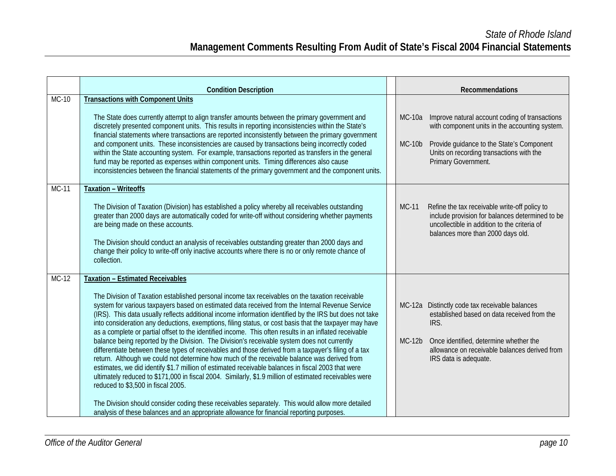|         | <b>Condition Description</b>                                                                                                                                                                                                                                                                                                                                                                                                                                                                                                                                                                                                                                                                                                                                                                                                                                                                                                                                                                                                                                                                                                                                                                                                                                                                                                              |                           | <b>Recommendations</b>                                                                                                                                                                                                    |
|---------|-------------------------------------------------------------------------------------------------------------------------------------------------------------------------------------------------------------------------------------------------------------------------------------------------------------------------------------------------------------------------------------------------------------------------------------------------------------------------------------------------------------------------------------------------------------------------------------------------------------------------------------------------------------------------------------------------------------------------------------------------------------------------------------------------------------------------------------------------------------------------------------------------------------------------------------------------------------------------------------------------------------------------------------------------------------------------------------------------------------------------------------------------------------------------------------------------------------------------------------------------------------------------------------------------------------------------------------------|---------------------------|---------------------------------------------------------------------------------------------------------------------------------------------------------------------------------------------------------------------------|
| MC-10   | <b>Transactions with Component Units</b><br>The State does currently attempt to align transfer amounts between the primary government and<br>discretely presented component units. This results in reporting inconsistencies within the State's<br>financial statements where transactions are reported inconsistently between the primary government<br>and component units. These inconsistencies are caused by transactions being incorrectly coded<br>within the State accounting system. For example, transactions reported as transfers in the general<br>fund may be reported as expenses within component units. Timing differences also cause<br>inconsistencies between the financial statements of the primary government and the component units.                                                                                                                                                                                                                                                                                                                                                                                                                                                                                                                                                                             | <b>MC-10a</b><br>$MC-10b$ | Improve natural account coding of transactions<br>with component units in the accounting system.<br>Provide guidance to the State's Component<br>Units on recording transactions with the<br>Primary Government.          |
| $MC-11$ | <b>Taxation - Writeoffs</b><br>The Division of Taxation (Division) has established a policy whereby all receivables outstanding<br>greater than 2000 days are automatically coded for write-off without considering whether payments<br>are being made on these accounts.<br>The Division should conduct an analysis of receivables outstanding greater than 2000 days and<br>change their policy to write-off only inactive accounts where there is no or only remote chance of<br>collection.                                                                                                                                                                                                                                                                                                                                                                                                                                                                                                                                                                                                                                                                                                                                                                                                                                           | <b>MC-11</b>              | Refine the tax receivable write-off policy to<br>include provision for balances determined to be<br>uncollectible in addition to the criteria of<br>balances more than 2000 days old.                                     |
| MC-12   | <b>Taxation - Estimated Receivables</b><br>The Division of Taxation established personal income tax receivables on the taxation receivable<br>system for various taxpayers based on estimated data received from the Internal Revenue Service<br>(IRS). This data usually reflects additional income information identified by the IRS but does not take<br>into consideration any deductions, exemptions, filing status, or cost basis that the taxpayer may have<br>as a complete or partial offset to the identified income. This often results in an inflated receivable<br>balance being reported by the Division. The Division's receivable system does not currently<br>differentiate between these types of receivables and those derived from a taxpayer's filing of a tax<br>return. Although we could not determine how much of the receivable balance was derived from<br>estimates, we did identify \$1.7 million of estimated receivable balances in fiscal 2003 that were<br>ultimately reduced to \$171,000 in fiscal 2004. Similarly, \$1.9 million of estimated receivables were<br>reduced to \$3,500 in fiscal 2005.<br>The Division should consider coding these receivables separately. This would allow more detailed<br>analysis of these balances and an appropriate allowance for financial reporting purposes. | $MC-12b$                  | MC-12a Distinctly code tax receivable balances<br>established based on data received from the<br>IRS.<br>Once identified, determine whether the<br>allowance on receivable balances derived from<br>IRS data is adequate. |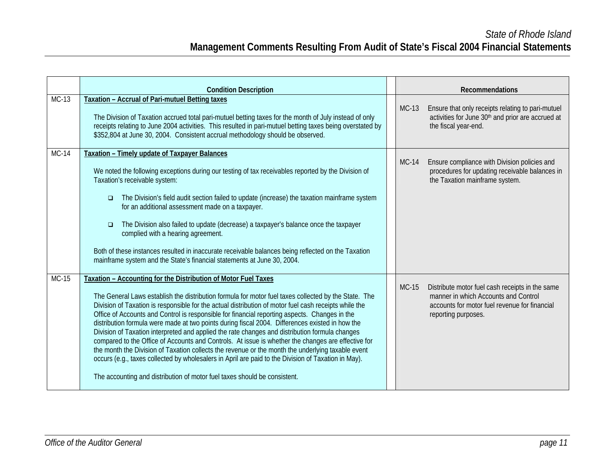|         | <b>Condition Description</b>                                                                                                                                                                                                                                                                                                                                                                                                                                                                                                                                                                                                                                                                                                                                                                                                                                                                                                                                                         |         | Recommendations                                                                                                                                                 |
|---------|--------------------------------------------------------------------------------------------------------------------------------------------------------------------------------------------------------------------------------------------------------------------------------------------------------------------------------------------------------------------------------------------------------------------------------------------------------------------------------------------------------------------------------------------------------------------------------------------------------------------------------------------------------------------------------------------------------------------------------------------------------------------------------------------------------------------------------------------------------------------------------------------------------------------------------------------------------------------------------------|---------|-----------------------------------------------------------------------------------------------------------------------------------------------------------------|
| MC-13   | Taxation - Accrual of Pari-mutuel Betting taxes<br>The Division of Taxation accrued total pari-mutuel betting taxes for the month of July instead of only<br>receipts relating to June 2004 activities. This resulted in pari-mutuel betting taxes being overstated by<br>\$352,804 at June 30, 2004. Consistent accrual methodology should be observed.                                                                                                                                                                                                                                                                                                                                                                                                                                                                                                                                                                                                                             | $MC-13$ | Ensure that only receipts relating to pari-mutuel<br>activities for June 30th and prior are accrued at<br>the fiscal year-end.                                  |
| $MC-14$ | Taxation - Timely update of Taxpayer Balances<br>We noted the following exceptions during our testing of tax receivables reported by the Division of<br>Taxation's receivable system:<br>The Division's field audit section failed to update (increase) the taxation mainframe system<br>$\Box$<br>for an additional assessment made on a taxpayer.<br>The Division also failed to update (decrease) a taxpayer's balance once the taxpayer<br>$\Box$<br>complied with a hearing agreement.<br>Both of these instances resulted in inaccurate receivable balances being reflected on the Taxation<br>mainframe system and the State's financial statements at June 30, 2004.                                                                                                                                                                                                                                                                                                         | $MC-14$ | Ensure compliance with Division policies and<br>procedures for updating receivable balances in<br>the Taxation mainframe system.                                |
| MC-15   | Taxation - Accounting for the Distribution of Motor Fuel Taxes<br>The General Laws establish the distribution formula for motor fuel taxes collected by the State. The<br>Division of Taxation is responsible for the actual distribution of motor fuel cash receipts while the<br>Office of Accounts and Control is responsible for financial reporting aspects. Changes in the<br>distribution formula were made at two points during fiscal 2004. Differences existed in how the<br>Division of Taxation interpreted and applied the rate changes and distribution formula changes<br>compared to the Office of Accounts and Controls. At issue is whether the changes are effective for<br>the month the Division of Taxation collects the revenue or the month the underlying taxable event<br>occurs (e.g., taxes collected by wholesalers in April are paid to the Division of Taxation in May).<br>The accounting and distribution of motor fuel taxes should be consistent. | $MC-15$ | Distribute motor fuel cash receipts in the same<br>manner in which Accounts and Control<br>accounts for motor fuel revenue for financial<br>reporting purposes. |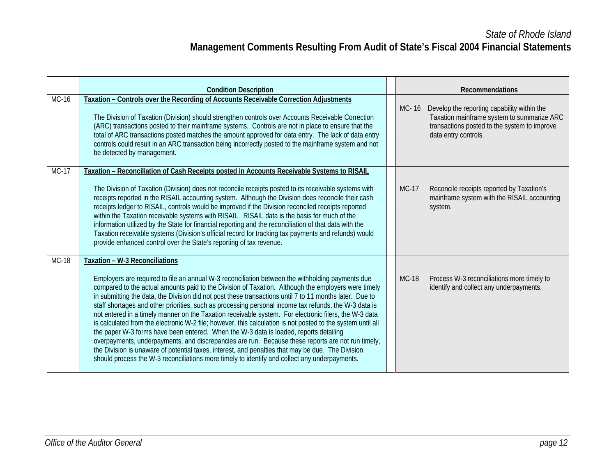|              | <b>Condition Description</b>                                                                                                                                                                                                                                                                                                                                                                                                                                                                                                                                                                                                                                                                                                                                                                                                                                                                                                                                                                                                                                                              |       | Recommendations                                                                                                                                                   |
|--------------|-------------------------------------------------------------------------------------------------------------------------------------------------------------------------------------------------------------------------------------------------------------------------------------------------------------------------------------------------------------------------------------------------------------------------------------------------------------------------------------------------------------------------------------------------------------------------------------------------------------------------------------------------------------------------------------------------------------------------------------------------------------------------------------------------------------------------------------------------------------------------------------------------------------------------------------------------------------------------------------------------------------------------------------------------------------------------------------------|-------|-------------------------------------------------------------------------------------------------------------------------------------------------------------------|
| MC-16        | Taxation - Controls over the Recording of Accounts Receivable Correction Adjustments<br>The Division of Taxation (Division) should strengthen controls over Accounts Receivable Correction<br>(ARC) transactions posted to their mainframe systems. Controls are not in place to ensure that the<br>total of ARC transactions posted matches the amount approved for data entry. The lack of data entry<br>controls could result in an ARC transaction being incorrectly posted to the mainframe system and not<br>be detected by management.                                                                                                                                                                                                                                                                                                                                                                                                                                                                                                                                             | MC-16 | Develop the reporting capability within the<br>Taxation mainframe system to summarize ARC<br>transactions posted to the system to improve<br>data entry controls. |
| $MC-17$      | Taxation - Reconciliation of Cash Receipts posted in Accounts Receivable Systems to RISAIL<br>The Division of Taxation (Division) does not reconcile receipts posted to its receivable systems with<br>receipts reported in the RISAIL accounting system. Although the Division does reconcile their cash<br>receipts ledger to RISAIL, controls would be improved if the Division reconciled receipts reported<br>within the Taxation receivable systems with RISAIL. RISAIL data is the basis for much of the<br>information utilized by the State for financial reporting and the reconciliation of that data with the<br>Taxation receivable systems (Division's official record for tracking tax payments and refunds) would<br>provide enhanced control over the State's reporting of tax revenue.                                                                                                                                                                                                                                                                                  | MC-17 | Reconcile receipts reported by Taxation's<br>mainframe system with the RISAIL accounting<br>system.                                                               |
| <b>MC-18</b> | Taxation - W-3 Reconciliations<br>Employers are required to file an annual W-3 reconciliation between the withholding payments due<br>compared to the actual amounts paid to the Division of Taxation. Although the employers were timely<br>in submitting the data, the Division did not post these transactions until 7 to 11 months later. Due to<br>staff shortages and other priorities, such as processing personal income tax refunds, the W-3 data is<br>not entered in a timely manner on the Taxation receivable system. For electronic filers, the W-3 data<br>is calculated from the electronic W-2 file; however, this calculation is not posted to the system until all<br>the paper W-3 forms have been entered. When the W-3 data is loaded, reports detailing<br>overpayments, underpayments, and discrepancies are run. Because these reports are not run timely,<br>the Division is unaware of potential taxes, interest, and penalties that may be due. The Division<br>should process the W-3 reconciliations more timely to identify and collect any underpayments. | MC-18 | Process W-3 reconciliations more timely to<br>identify and collect any underpayments.                                                                             |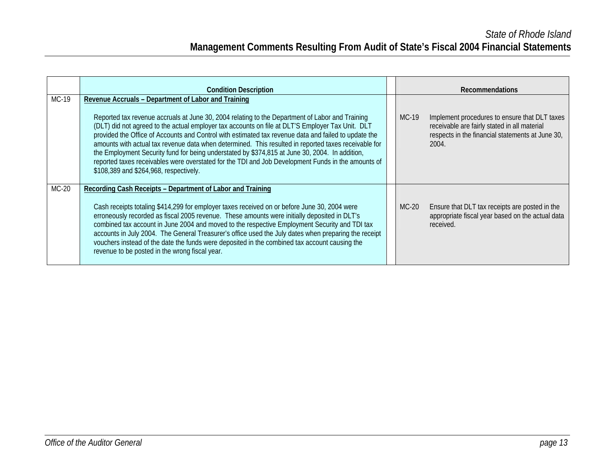|         | <b>Condition Description</b>                                                                                                                                                                                                                                                                                                                                                                                                                                                                                                                                                                                                                                          |         | <b>Recommendations</b>                                                                                                                                     |
|---------|-----------------------------------------------------------------------------------------------------------------------------------------------------------------------------------------------------------------------------------------------------------------------------------------------------------------------------------------------------------------------------------------------------------------------------------------------------------------------------------------------------------------------------------------------------------------------------------------------------------------------------------------------------------------------|---------|------------------------------------------------------------------------------------------------------------------------------------------------------------|
| $MC-19$ | Revenue Accruals - Department of Labor and Training                                                                                                                                                                                                                                                                                                                                                                                                                                                                                                                                                                                                                   |         |                                                                                                                                                            |
|         | Reported tax revenue accruals at June 30, 2004 relating to the Department of Labor and Training<br>(DLT) did not agreed to the actual employer tax accounts on file at DLT'S Employer Tax Unit. DLT<br>provided the Office of Accounts and Control with estimated tax revenue data and failed to update the<br>amounts with actual tax revenue data when determined. This resulted in reported taxes receivable for<br>the Employment Security fund for being understated by \$374,815 at June 30, 2004. In addition,<br>reported taxes receivables were overstated for the TDI and Job Development Funds in the amounts of<br>\$108,389 and \$264,968, respectively. | $MC-19$ | Implement procedures to ensure that DLT taxes<br>receivable are fairly stated in all material<br>respects in the financial statements at June 30,<br>2004. |
| $MC-20$ | Recording Cash Receipts - Department of Labor and Training                                                                                                                                                                                                                                                                                                                                                                                                                                                                                                                                                                                                            |         |                                                                                                                                                            |
|         | Cash receipts totaling \$414,299 for employer taxes received on or before June 30, 2004 were<br>erroneously recorded as fiscal 2005 revenue. These amounts were initially deposited in DLT's<br>combined tax account in June 2004 and moved to the respective Employment Security and TDI tax<br>accounts in July 2004. The General Treasurer's office used the July dates when preparing the receipt<br>vouchers instead of the date the funds were deposited in the combined tax account causing the<br>revenue to be posted in the wrong fiscal year.                                                                                                              | $MC-20$ | Ensure that DLT tax receipts are posted in the<br>appropriate fiscal year based on the actual data<br>received.                                            |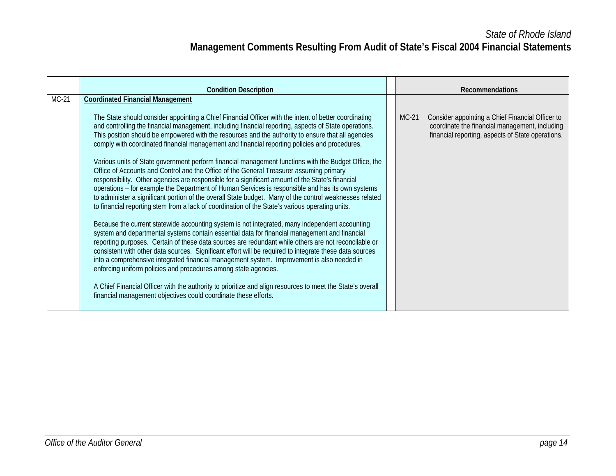|         | <b>Condition Description</b>                                                                                                                                                                                                                                                                                                                                                                                                                                                                                                                                                                                                                                                                                                                                                                                             |         | <b>Recommendations</b>                                                                                                                                  |
|---------|--------------------------------------------------------------------------------------------------------------------------------------------------------------------------------------------------------------------------------------------------------------------------------------------------------------------------------------------------------------------------------------------------------------------------------------------------------------------------------------------------------------------------------------------------------------------------------------------------------------------------------------------------------------------------------------------------------------------------------------------------------------------------------------------------------------------------|---------|---------------------------------------------------------------------------------------------------------------------------------------------------------|
| $MC-21$ | <b>Coordinated Financial Management</b>                                                                                                                                                                                                                                                                                                                                                                                                                                                                                                                                                                                                                                                                                                                                                                                  |         |                                                                                                                                                         |
|         | The State should consider appointing a Chief Financial Officer with the intent of better coordinating<br>and controlling the financial management, including financial reporting, aspects of State operations.<br>This position should be empowered with the resources and the authority to ensure that all agencies<br>comply with coordinated financial management and financial reporting policies and procedures.                                                                                                                                                                                                                                                                                                                                                                                                    | $MC-21$ | Consider appointing a Chief Financial Officer to<br>coordinate the financial management, including<br>financial reporting, aspects of State operations. |
|         | Various units of State government perform financial management functions with the Budget Office, the<br>Office of Accounts and Control and the Office of the General Treasurer assuming primary<br>responsibility. Other agencies are responsible for a significant amount of the State's financial<br>operations - for example the Department of Human Services is responsible and has its own systems<br>to administer a significant portion of the overall State budget. Many of the control weaknesses related<br>to financial reporting stem from a lack of coordination of the State's various operating units.<br>Because the current statewide accounting system is not integrated, many independent accounting<br>system and departmental systems contain essential data for financial management and financial |         |                                                                                                                                                         |
|         | reporting purposes. Certain of these data sources are redundant while others are not reconcilable or<br>consistent with other data sources. Significant effort will be required to integrate these data sources<br>into a comprehensive integrated financial management system. Improvement is also needed in<br>enforcing uniform policies and procedures among state agencies.<br>A Chief Financial Officer with the authority to prioritize and align resources to meet the State's overall<br>financial management objectives could coordinate these efforts.                                                                                                                                                                                                                                                        |         |                                                                                                                                                         |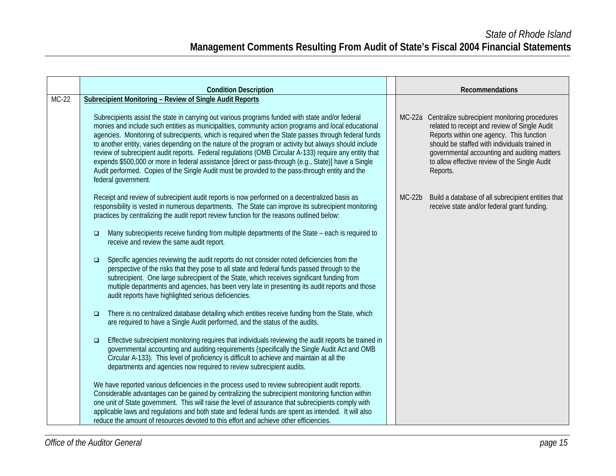|         | <b>Condition Description</b>                                                                                                                                                                                                                                                                                                                                                                                                                                                                                                                                                                                                                                                                                                                                          |          | Recommendations                                                                                                                                                                                                                                                                                                 |
|---------|-----------------------------------------------------------------------------------------------------------------------------------------------------------------------------------------------------------------------------------------------------------------------------------------------------------------------------------------------------------------------------------------------------------------------------------------------------------------------------------------------------------------------------------------------------------------------------------------------------------------------------------------------------------------------------------------------------------------------------------------------------------------------|----------|-----------------------------------------------------------------------------------------------------------------------------------------------------------------------------------------------------------------------------------------------------------------------------------------------------------------|
| $MC-22$ | Subrecipient Monitoring - Review of Single Audit Reports                                                                                                                                                                                                                                                                                                                                                                                                                                                                                                                                                                                                                                                                                                              |          |                                                                                                                                                                                                                                                                                                                 |
|         | Subrecipients assist the state in carrying out various programs funded with state and/or federal<br>monies and include such entities as municipalities, community action programs and local educational<br>agencies. Monitoring of subrecipients, which is required when the State passes through federal funds<br>to another entity, varies depending on the nature of the program or activity but always should include<br>review of subrecipient audit reports. Federal regulations (OMB Circular A-133) require any entity that<br>expends \$500,000 or more in federal assistance [direct or pass-through (e.g., State)] have a Single<br>Audit performed. Copies of the Single Audit must be provided to the pass-through entity and the<br>federal government. |          | MC-22a Centralize subrecipient monitoring procedures<br>related to receipt and review of Single Audit<br>Reports within one agency. This function<br>should be staffed with individuals trained in<br>governmental accounting and auditing matters<br>to allow effective review of the Single Audit<br>Reports. |
|         | Receipt and review of subrecipient audit reports is now performed on a decentralized basis as<br>responsibility is vested in numerous departments. The State can improve its subrecipient monitoring<br>practices by centralizing the audit report review function for the reasons outlined below:                                                                                                                                                                                                                                                                                                                                                                                                                                                                    | $MC-22b$ | Build a database of all subrecipient entities that<br>receive state and/or federal grant funding.                                                                                                                                                                                                               |
|         | Many subrecipients receive funding from multiple departments of the State - each is required to<br>$\Box$<br>receive and review the same audit report.                                                                                                                                                                                                                                                                                                                                                                                                                                                                                                                                                                                                                |          |                                                                                                                                                                                                                                                                                                                 |
|         | Specific agencies reviewing the audit reports do not consider noted deficiencies from the<br>$\Box$<br>perspective of the risks that they pose to all state and federal funds passed through to the<br>subrecipient. One large subrecipient of the State, which receives significant funding from<br>multiple departments and agencies, has been very late in presenting its audit reports and those<br>audit reports have highlighted serious deficiencies.                                                                                                                                                                                                                                                                                                          |          |                                                                                                                                                                                                                                                                                                                 |
|         | There is no centralized database detailing which entities receive funding from the State, which<br>$\Box$<br>are required to have a Single Audit performed, and the status of the audits.                                                                                                                                                                                                                                                                                                                                                                                                                                                                                                                                                                             |          |                                                                                                                                                                                                                                                                                                                 |
|         | Effective subrecipient monitoring requires that individuals reviewing the audit reports be trained in<br>$\Box$<br>governmental accounting and auditing requirements (specifically the Single Audit Act and OMB<br>Circular A-133). This level of proficiency is difficult to achieve and maintain at all the<br>departments and agencies now required to review subrecipient audits.                                                                                                                                                                                                                                                                                                                                                                                 |          |                                                                                                                                                                                                                                                                                                                 |
|         | We have reported various deficiencies in the process used to review subrecipient audit reports.<br>Considerable advantages can be gained by centralizing the subrecipient monitoring function within<br>one unit of State government. This will raise the level of assurance that subrecipients comply with<br>applicable laws and regulations and both state and federal funds are spent as intended. It will also                                                                                                                                                                                                                                                                                                                                                   |          |                                                                                                                                                                                                                                                                                                                 |
|         | reduce the amount of resources devoted to this effort and achieve other efficiencies.                                                                                                                                                                                                                                                                                                                                                                                                                                                                                                                                                                                                                                                                                 |          |                                                                                                                                                                                                                                                                                                                 |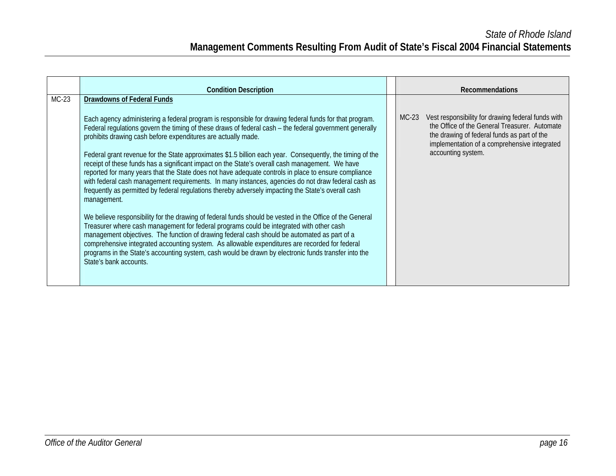|         | <b>Condition Description</b>                                                                                                                                                                                                                                                                                                                                                                                                                                                                                                             |         | <b>Recommendations</b>                                                                                                                                                                                                   |
|---------|------------------------------------------------------------------------------------------------------------------------------------------------------------------------------------------------------------------------------------------------------------------------------------------------------------------------------------------------------------------------------------------------------------------------------------------------------------------------------------------------------------------------------------------|---------|--------------------------------------------------------------------------------------------------------------------------------------------------------------------------------------------------------------------------|
| $MC-23$ | <b>Drawdowns of Federal Funds</b>                                                                                                                                                                                                                                                                                                                                                                                                                                                                                                        |         |                                                                                                                                                                                                                          |
|         | Each agency administering a federal program is responsible for drawing federal funds for that program.<br>Federal regulations govern the timing of these draws of federal cash - the federal government generally<br>prohibits drawing cash before expenditures are actually made.<br>Federal grant revenue for the State approximates \$1.5 billion each year. Consequently, the timing of the                                                                                                                                          | $MC-23$ | Vest responsibility for drawing federal funds with<br>the Office of the General Treasurer. Automate<br>the drawing of federal funds as part of the<br>implementation of a comprehensive integrated<br>accounting system. |
|         | receipt of these funds has a significant impact on the State's overall cash management. We have<br>reported for many years that the State does not have adequate controls in place to ensure compliance<br>with federal cash management requirements. In many instances, agencies do not draw federal cash as<br>frequently as permitted by federal regulations thereby adversely impacting the State's overall cash<br>management.                                                                                                      |         |                                                                                                                                                                                                                          |
|         | We believe responsibility for the drawing of federal funds should be vested in the Office of the General<br>Treasurer where cash management for federal programs could be integrated with other cash<br>management objectives. The function of drawing federal cash should be automated as part of a<br>comprehensive integrated accounting system. As allowable expenditures are recorded for federal<br>programs in the State's accounting system, cash would be drawn by electronic funds transfer into the<br>State's bank accounts. |         |                                                                                                                                                                                                                          |
|         |                                                                                                                                                                                                                                                                                                                                                                                                                                                                                                                                          |         |                                                                                                                                                                                                                          |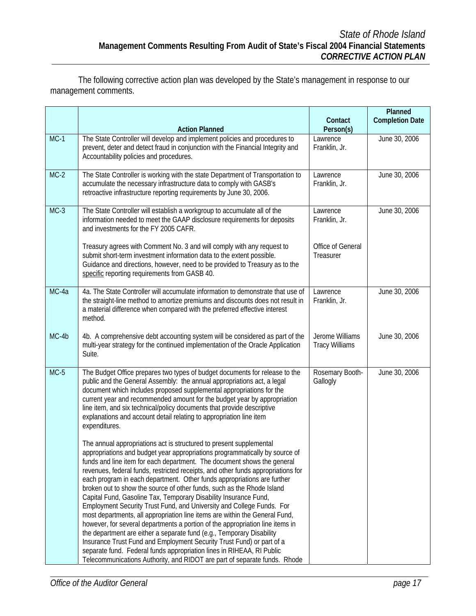The following corrective action plan was developed by the State's management in response to our management comments.

|         |                                                                                                                                                                                                                                                                                                                                                                                                                                                                                                                                                                                                                     | Contact                                  | Planned<br><b>Completion Date</b> |
|---------|---------------------------------------------------------------------------------------------------------------------------------------------------------------------------------------------------------------------------------------------------------------------------------------------------------------------------------------------------------------------------------------------------------------------------------------------------------------------------------------------------------------------------------------------------------------------------------------------------------------------|------------------------------------------|-----------------------------------|
| $MC-1$  | <b>Action Planned</b><br>The State Controller will develop and implement policies and procedures to<br>prevent, deter and detect fraud in conjunction with the Financial Integrity and<br>Accountability policies and procedures.                                                                                                                                                                                                                                                                                                                                                                                   | Person(s)<br>Lawrence<br>Franklin, Jr.   | June 30, 2006                     |
| $MC-2$  | The State Controller is working with the state Department of Transportation to<br>accumulate the necessary infrastructure data to comply with GASB's<br>retroactive infrastructure reporting requirements by June 30, 2006.                                                                                                                                                                                                                                                                                                                                                                                         | Lawrence<br>Franklin, Jr.                | June 30, 2006                     |
| $MC-3$  | The State Controller will establish a workgroup to accumulate all of the<br>information needed to meet the GAAP disclosure requirements for deposits<br>and investments for the FY 2005 CAFR.                                                                                                                                                                                                                                                                                                                                                                                                                       | Lawrence<br>Franklin, Jr.                | June 30, 2006                     |
|         | Treasury agrees with Comment No. 3 and will comply with any request to<br>submit short-term investment information data to the extent possible.<br>Guidance and directions, however, need to be provided to Treasury as to the<br>specific reporting requirements from GASB 40.                                                                                                                                                                                                                                                                                                                                     | Office of General<br>Treasurer           |                                   |
| MC-4a   | 4a. The State Controller will accumulate information to demonstrate that use of<br>the straight-line method to amortize premiums and discounts does not result in<br>a material difference when compared with the preferred effective interest<br>method.                                                                                                                                                                                                                                                                                                                                                           | Lawrence<br>Franklin, Jr.                | June 30, 2006                     |
| $MC-4b$ | 4b. A comprehensive debt accounting system will be considered as part of the<br>multi-year strategy for the continued implementation of the Oracle Application<br>Suite.                                                                                                                                                                                                                                                                                                                                                                                                                                            | Jerome Williams<br><b>Tracy Williams</b> | June 30, 2006                     |
| $MC-5$  | The Budget Office prepares two types of budget documents for release to the<br>public and the General Assembly: the annual appropriations act, a legal<br>document which includes proposed supplemental appropriations for the<br>current year and recommended amount for the budget year by appropriation<br>line item, and six technical/policy documents that provide descriptive<br>explanations and account detail relating to appropriation line item<br>expenditures.                                                                                                                                        | Rosemary Booth-<br>Gallogly              | June 30, 2006                     |
|         | The annual appropriations act is structured to present supplemental<br>appropriations and budget year appropriations programmatically by source of<br>funds and line item for each department. The document shows the general<br>revenues, federal funds, restricted receipts, and other funds appropriations for<br>each program in each department. Other funds appropriations are further<br>broken out to show the source of other funds, such as the Rhode Island<br>Capital Fund, Gasoline Tax, Temporary Disability Insurance Fund,<br>Employment Security Trust Fund, and University and College Funds. For |                                          |                                   |
|         | most departments, all appropriation line items are within the General Fund,<br>however, for several departments a portion of the appropriation line items in<br>the department are either a separate fund (e.g., Temporary Disability<br>Insurance Trust Fund and Employment Security Trust Fund) or part of a<br>separate fund. Federal funds appropriation lines in RIHEAA, RI Public<br>Telecommunications Authority, and RIDOT are part of separate funds. Rhode                                                                                                                                                |                                          |                                   |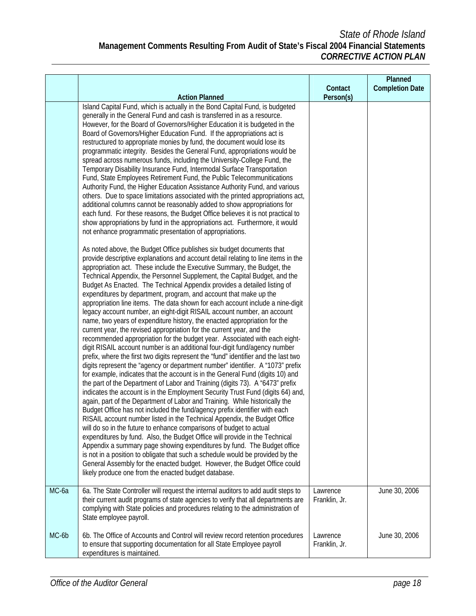## *State of Rhode Island*  **Management Comments Resulting From Audit of State's Fiscal 2004 Financial Statements**  *CORRECTIVE ACTION PLAN*

|       |                                                                                                                                                                                                                                                                                                                                                                                                                                                                                                                                                                                                                                                                                                                                                                                                                                                                                                                                                                                                                                                                                                                                                                                                                                                                                                                                                                                                                                                                                                                                                                                                                                                                                                                                                                                                                                                                                                                                                                                                                                                                                                                                                                                                                                                                                                                                                                                                                                                                                                                                                                                                                                                                                                                                                                                                                                                                                                                                                                                                                                                                                                                                                                                                                                                                              | Contact                   | Planned<br><b>Completion Date</b> |
|-------|------------------------------------------------------------------------------------------------------------------------------------------------------------------------------------------------------------------------------------------------------------------------------------------------------------------------------------------------------------------------------------------------------------------------------------------------------------------------------------------------------------------------------------------------------------------------------------------------------------------------------------------------------------------------------------------------------------------------------------------------------------------------------------------------------------------------------------------------------------------------------------------------------------------------------------------------------------------------------------------------------------------------------------------------------------------------------------------------------------------------------------------------------------------------------------------------------------------------------------------------------------------------------------------------------------------------------------------------------------------------------------------------------------------------------------------------------------------------------------------------------------------------------------------------------------------------------------------------------------------------------------------------------------------------------------------------------------------------------------------------------------------------------------------------------------------------------------------------------------------------------------------------------------------------------------------------------------------------------------------------------------------------------------------------------------------------------------------------------------------------------------------------------------------------------------------------------------------------------------------------------------------------------------------------------------------------------------------------------------------------------------------------------------------------------------------------------------------------------------------------------------------------------------------------------------------------------------------------------------------------------------------------------------------------------------------------------------------------------------------------------------------------------------------------------------------------------------------------------------------------------------------------------------------------------------------------------------------------------------------------------------------------------------------------------------------------------------------------------------------------------------------------------------------------------------------------------------------------------------------------------------------------------|---------------------------|-----------------------------------|
|       | <b>Action Planned</b>                                                                                                                                                                                                                                                                                                                                                                                                                                                                                                                                                                                                                                                                                                                                                                                                                                                                                                                                                                                                                                                                                                                                                                                                                                                                                                                                                                                                                                                                                                                                                                                                                                                                                                                                                                                                                                                                                                                                                                                                                                                                                                                                                                                                                                                                                                                                                                                                                                                                                                                                                                                                                                                                                                                                                                                                                                                                                                                                                                                                                                                                                                                                                                                                                                                        | Person(s)                 |                                   |
|       | Island Capital Fund, which is actually in the Bond Capital Fund, is budgeted<br>generally in the General Fund and cash is transferred in as a resource.<br>However, for the Board of Governors/Higher Education it is budgeted in the<br>Board of Governors/Higher Education Fund. If the appropriations act is<br>restructured to appropriate monies by fund, the document would lose its<br>programmatic integrity. Besides the General Fund, appropriations would be<br>spread across numerous funds, including the University-College Fund, the<br>Temporary Disability Insurance Fund, Intermodal Surface Transportation<br>Fund, State Employees Retirement Fund, the Public Telecommunitications<br>Authority Fund, the Higher Education Assistance Authority Fund, and various<br>others. Due to space limitations associated with the printed appropriations act,<br>additional columns cannot be reasonably added to show appropriations for<br>each fund. For these reasons, the Budget Office believes it is not practical to<br>show appropriations by fund in the appropriations act. Furthermore, it would<br>not enhance programmatic presentation of appropriations.<br>As noted above, the Budget Office publishes six budget documents that<br>provide descriptive explanations and account detail relating to line items in the<br>appropriation act. These include the Executive Summary, the Budget, the<br>Technical Appendix, the Personnel Supplement, the Capital Budget, and the<br>Budget As Enacted. The Technical Appendix provides a detailed listing of<br>expenditures by department, program, and account that make up the<br>appropriation line items. The data shown for each account include a nine-digit<br>legacy account number, an eight-digit RISAIL account number, an account<br>name, two years of expenditure history, the enacted appropriation for the<br>current year, the revised appropriation for the current year, and the<br>recommended appropriation for the budget year. Associated with each eight-<br>digit RISAIL account number is an additional four-digit fund/agency number<br>prefix, where the first two digits represent the "fund" identifier and the last two<br>digits represent the "agency or department number" identifier. A "1073" prefix<br>for example, indicates that the account is in the General Fund (digits 10) and<br>the part of the Department of Labor and Training (digits 73). A "6473" prefix<br>indicates the account is in the Employment Security Trust Fund (digits 64) and,<br>again, part of the Department of Labor and Training. While historically the<br>Budget Office has not included the fund/agency prefix identifier with each<br>RISAIL account number listed in the Technical Appendix, the Budget Office<br>will do so in the future to enhance comparisons of budget to actual<br>expenditures by fund. Also, the Budget Office will provide in the Technical<br>Appendix a summary page showing expenditures by fund. The Budget office<br>is not in a position to obligate that such a schedule would be provided by the<br>General Assembly for the enacted budget. However, the Budget Office could<br>likely produce one from the enacted budget database. |                           |                                   |
| MC-6a | 6a. The State Controller will request the internal auditors to add audit steps to<br>their current audit programs of state agencies to verify that all departments are<br>complying with State policies and procedures relating to the administration of<br>State employee payroll.                                                                                                                                                                                                                                                                                                                                                                                                                                                                                                                                                                                                                                                                                                                                                                                                                                                                                                                                                                                                                                                                                                                                                                                                                                                                                                                                                                                                                                                                                                                                                                                                                                                                                                                                                                                                                                                                                                                                                                                                                                                                                                                                                                                                                                                                                                                                                                                                                                                                                                                                                                                                                                                                                                                                                                                                                                                                                                                                                                                          | Lawrence<br>Franklin, Jr. | June 30, 2006                     |
| MC-6b | 6b. The Office of Accounts and Control will review record retention procedures<br>to ensure that supporting documentation for all State Employee payroll<br>expenditures is maintained.                                                                                                                                                                                                                                                                                                                                                                                                                                                                                                                                                                                                                                                                                                                                                                                                                                                                                                                                                                                                                                                                                                                                                                                                                                                                                                                                                                                                                                                                                                                                                                                                                                                                                                                                                                                                                                                                                                                                                                                                                                                                                                                                                                                                                                                                                                                                                                                                                                                                                                                                                                                                                                                                                                                                                                                                                                                                                                                                                                                                                                                                                      | Lawrence<br>Franklin, Jr. | June 30, 2006                     |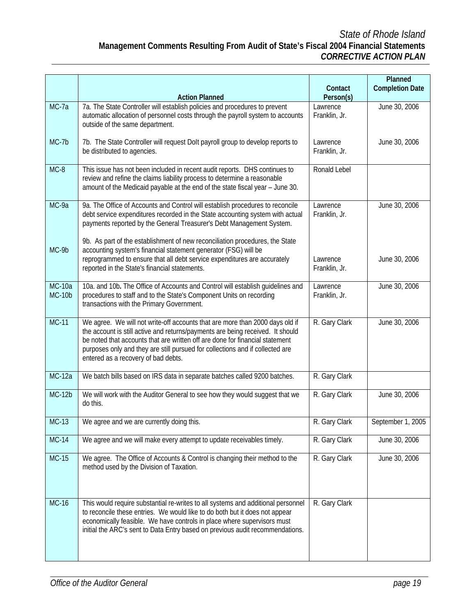## *State of Rhode Island*  **Management Comments Resulting From Audit of State's Fiscal 2004 Financial Statements**  *CORRECTIVE ACTION PLAN*

|                           |                                                                                                                                                                                                                                                                                                                                                                        | Contact                   | Planned<br><b>Completion Date</b> |
|---------------------------|------------------------------------------------------------------------------------------------------------------------------------------------------------------------------------------------------------------------------------------------------------------------------------------------------------------------------------------------------------------------|---------------------------|-----------------------------------|
|                           | <b>Action Planned</b>                                                                                                                                                                                                                                                                                                                                                  | Person(s)                 |                                   |
| $MC-7a$                   | 7a. The State Controller will establish policies and procedures to prevent<br>automatic allocation of personnel costs through the payroll system to accounts<br>outside of the same department.                                                                                                                                                                        | Lawrence<br>Franklin, Jr. | June 30, 2006                     |
| MC-7b                     | 7b. The State Controller will request Dolt payroll group to develop reports to<br>be distributed to agencies.                                                                                                                                                                                                                                                          | Lawrence<br>Franklin, Jr. | June 30, 2006                     |
| $MC-8$                    | This issue has not been included in recent audit reports. DHS continues to<br>review and refine the claims liability process to determine a reasonable<br>amount of the Medicaid payable at the end of the state fiscal year - June 30.                                                                                                                                | Ronald Lebel              |                                   |
| MC-9a                     | 9a. The Office of Accounts and Control will establish procedures to reconcile<br>debt service expenditures recorded in the State accounting system with actual<br>payments reported by the General Treasurer's Debt Management System.                                                                                                                                 | Lawrence<br>Franklin, Jr. | June 30, 2006                     |
| MC-9b                     | 9b. As part of the establishment of new reconciliation procedures, the State<br>accounting system's financial statement generator (FSG) will be<br>reprogrammed to ensure that all debt service expenditures are accurately<br>reported in the State's financial statements.                                                                                           | Lawrence<br>Franklin, Jr. | June 30, 2006                     |
| <b>MC-10a</b><br>$MC-10b$ | 10a. and 10b. The Office of Accounts and Control will establish guidelines and<br>procedures to staff and to the State's Component Units on recording<br>transactions with the Primary Government.                                                                                                                                                                     | Lawrence<br>Franklin, Jr. | June 30, 2006                     |
| $MC-11$                   | We agree. We will not write-off accounts that are more than 2000 days old if<br>the account is still active and returns/payments are being received. It should<br>be noted that accounts that are written off are done for financial statement<br>purposes only and they are still pursued for collections and if collected are<br>entered as a recovery of bad debts. | R. Gary Clark             | June 30, 2006                     |
| <b>MC-12a</b>             | We batch bills based on IRS data in separate batches called 9200 batches.                                                                                                                                                                                                                                                                                              | R. Gary Clark             |                                   |
| $MC-12b$                  | We will work with the Auditor General to see how they would suggest that we<br>do this.                                                                                                                                                                                                                                                                                | R. Gary Clark             | June 30, 2006                     |
| $MC-13$                   | We agree and we are currently doing this.                                                                                                                                                                                                                                                                                                                              | R. Gary Clark             | September 1, 2005                 |
| $MC-14$                   | We agree and we will make every attempt to update receivables timely.                                                                                                                                                                                                                                                                                                  | R. Gary Clark             | June 30, 2006                     |
| $MC-15$                   | We agree. The Office of Accounts & Control is changing their method to the<br>method used by the Division of Taxation.                                                                                                                                                                                                                                                 | R. Gary Clark             | June 30, 2006                     |
| $MC-16$                   | This would require substantial re-writes to all systems and additional personnel<br>to reconcile these entries. We would like to do both but it does not appear<br>economically feasible. We have controls in place where supervisors must<br>initial the ARC's sent to Data Entry based on previous audit recommendations.                                            | R. Gary Clark             |                                   |